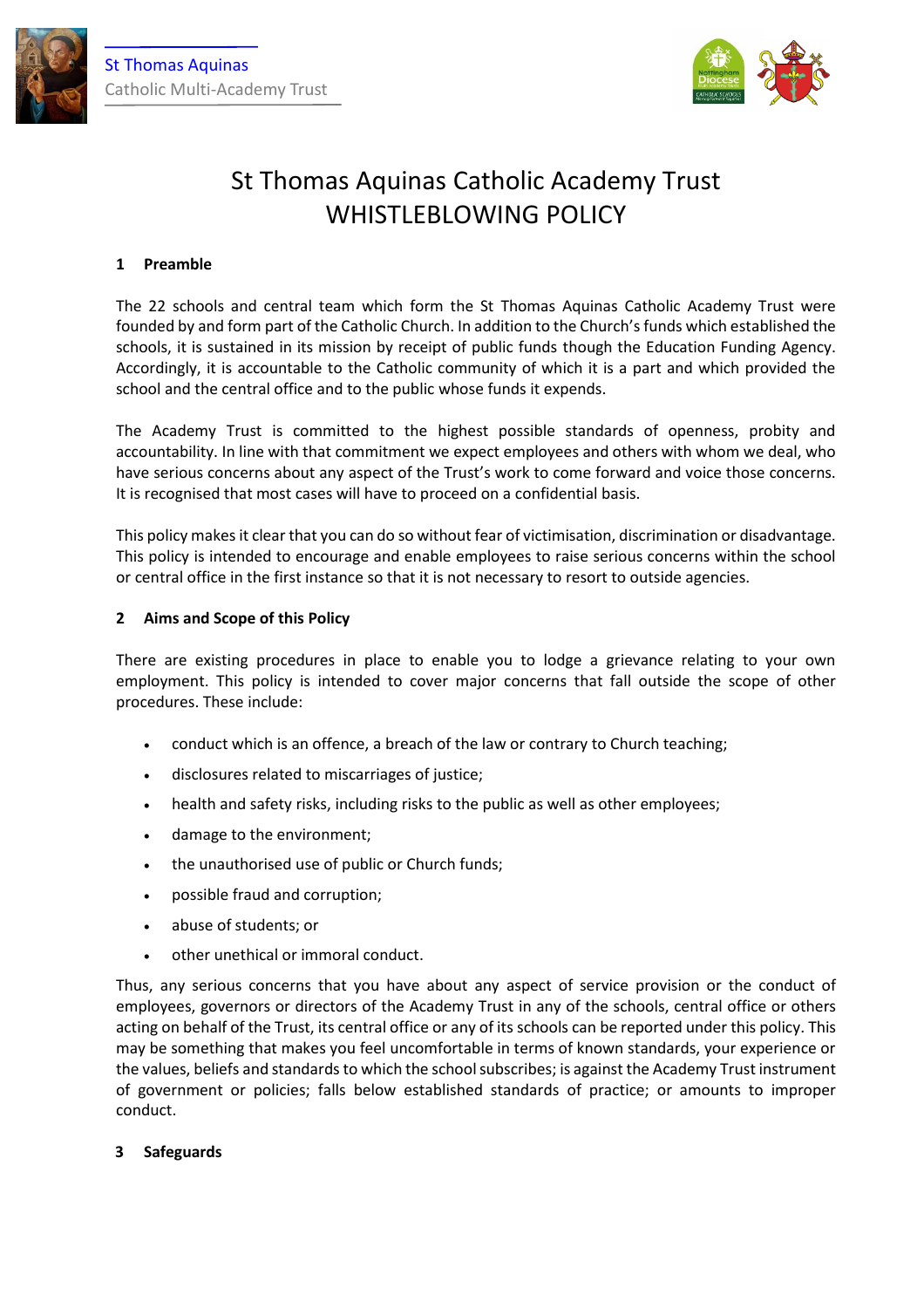



# St Thomas Aquinas Catholic Academy Trust WHISTLEBLOWING POLICY

## **1 Preamble**

The 22 schools and central team which form the St Thomas Aquinas Catholic Academy Trust were founded by and form part of the Catholic Church. In addition to the Church's funds which established the schools, it is sustained in its mission by receipt of public funds though the Education Funding Agency. Accordingly, it is accountable to the Catholic community of which it is a part and which provided the school and the central office and to the public whose funds it expends.

The Academy Trust is committed to the highest possible standards of openness, probity and accountability. In line with that commitment we expect employees and others with whom we deal, who have serious concerns about any aspect of the Trust's work to come forward and voice those concerns. It is recognised that most cases will have to proceed on a confidential basis.

This policy makes it clear that you can do so without fear of victimisation, discrimination or disadvantage. This policy is intended to encourage and enable employees to raise serious concerns within the school or central office in the first instance so that it is not necessary to resort to outside agencies.

## **2 Aims and Scope of this Policy**

There are existing procedures in place to enable you to lodge a grievance relating to your own employment. This policy is intended to cover major concerns that fall outside the scope of other procedures. These include:

- conduct which is an offence, a breach of the law or contrary to Church teaching;
- disclosures related to miscarriages of justice;
- health and safety risks, including risks to the public as well as other employees;
- damage to the environment;
- the unauthorised use of public or Church funds;
- possible fraud and corruption;
- abuse of students; or
- other unethical or immoral conduct.

Thus, any serious concerns that you have about any aspect of service provision or the conduct of employees, governors or directors of the Academy Trust in any of the schools, central office or others acting on behalf of the Trust, its central office or any of its schools can be reported under this policy. This may be something that makes you feel uncomfortable in terms of known standards, your experience or the values, beliefs and standards to which the school subscribes; is against the Academy Trust instrument of government or policies; falls below established standards of practice; or amounts to improper conduct.

#### **3 Safeguards**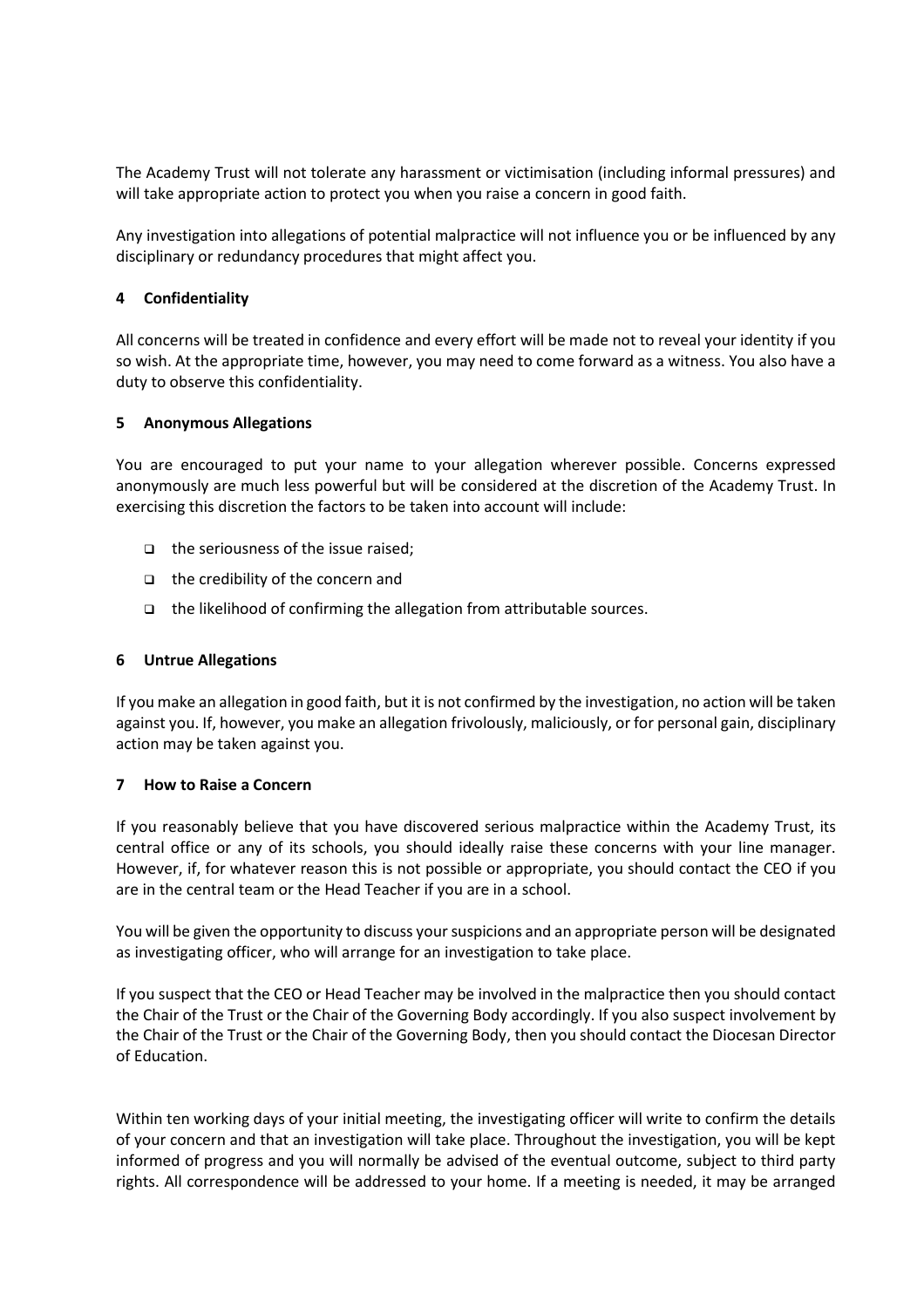The Academy Trust will not tolerate any harassment or victimisation (including informal pressures) and will take appropriate action to protect you when you raise a concern in good faith.

Any investigation into allegations of potential malpractice will not influence you or be influenced by any disciplinary or redundancy procedures that might affect you.

### **4 Confidentiality**

All concerns will be treated in confidence and every effort will be made not to reveal your identity if you so wish. At the appropriate time, however, you may need to come forward as a witness. You also have a duty to observe this confidentiality.

#### **5 Anonymous Allegations**

You are encouraged to put your name to your allegation wherever possible. Concerns expressed anonymously are much less powerful but will be considered at the discretion of the Academy Trust. In exercising this discretion the factors to be taken into account will include:

- $\Box$  the seriousness of the issue raised;
- $\Box$  the credibility of the concern and
- the likelihood of confirming the allegation from attributable sources.

### **6 Untrue Allegations**

If you make an allegation in good faith, but it is not confirmed by the investigation, no action will be taken against you. If, however, you make an allegation frivolously, maliciously, or for personal gain, disciplinary action may be taken against you.

#### **7 How to Raise a Concern**

If you reasonably believe that you have discovered serious malpractice within the Academy Trust, its central office or any of its schools, you should ideally raise these concerns with your line manager. However, if, for whatever reason this is not possible or appropriate, you should contact the CEO if you are in the central team or the Head Teacher if you are in a school.

You will be given the opportunity to discuss your suspicions and an appropriate person will be designated as investigating officer, who will arrange for an investigation to take place.

If you suspect that the CEO or Head Teacher may be involved in the malpractice then you should contact the Chair of the Trust or the Chair of the Governing Body accordingly. If you also suspect involvement by the Chair of the Trust or the Chair of the Governing Body, then you should contact the Diocesan Director of Education.

Within ten working days of your initial meeting, the investigating officer will write to confirm the details of your concern and that an investigation will take place. Throughout the investigation, you will be kept informed of progress and you will normally be advised of the eventual outcome, subject to third party rights. All correspondence will be addressed to your home. If a meeting is needed, it may be arranged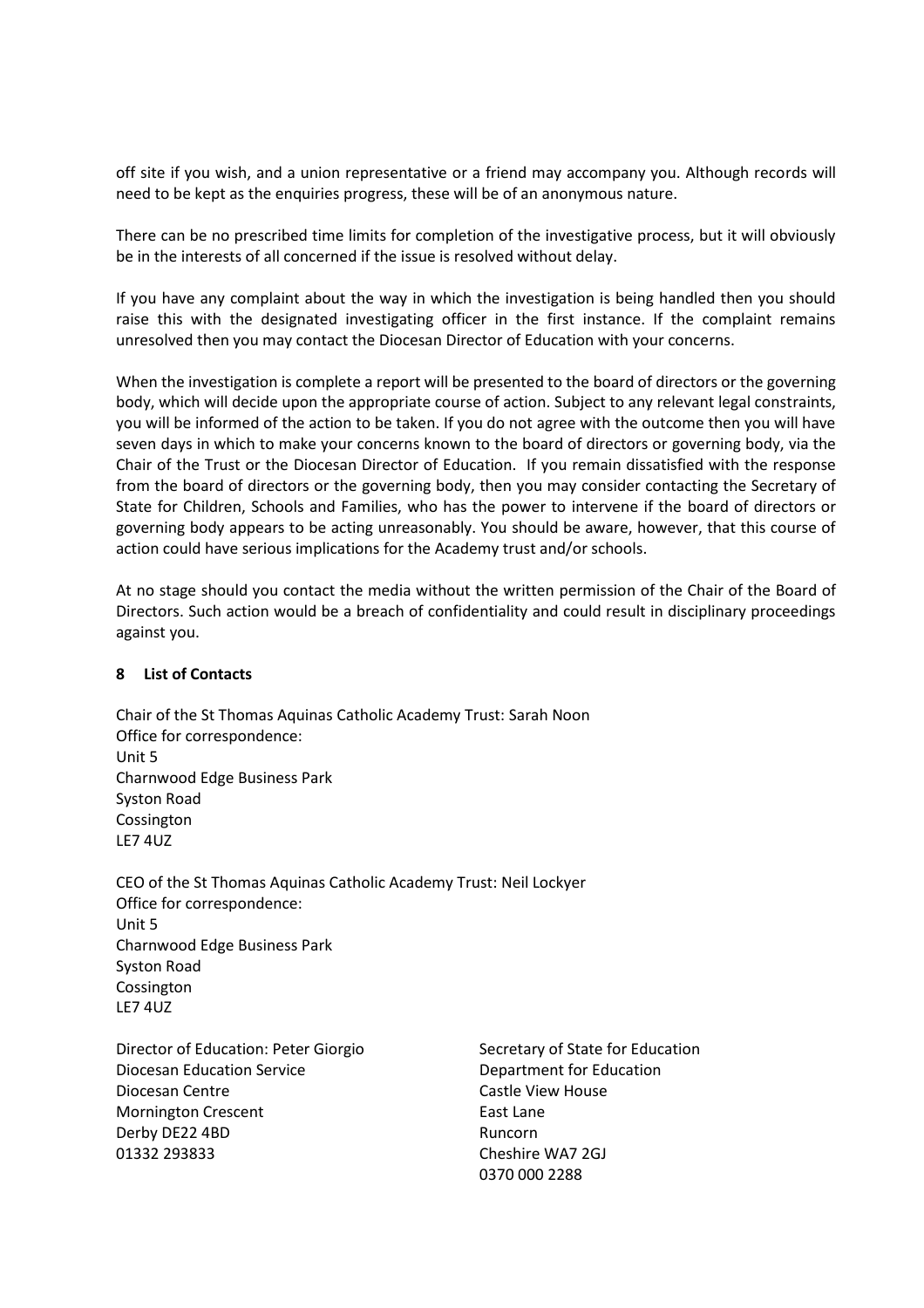off site if you wish, and a union representative or a friend may accompany you. Although records will need to be kept as the enquiries progress, these will be of an anonymous nature.

There can be no prescribed time limits for completion of the investigative process, but it will obviously be in the interests of all concerned if the issue is resolved without delay.

If you have any complaint about the way in which the investigation is being handled then you should raise this with the designated investigating officer in the first instance. If the complaint remains unresolved then you may contact the Diocesan Director of Education with your concerns.

When the investigation is complete a report will be presented to the board of directors or the governing body, which will decide upon the appropriate course of action. Subject to any relevant legal constraints, you will be informed of the action to be taken. If you do not agree with the outcome then you will have seven days in which to make your concerns known to the board of directors or governing body, via the Chair of the Trust or the Diocesan Director of Education. If you remain dissatisfied with the response from the board of directors or the governing body, then you may consider contacting the Secretary of State for Children, Schools and Families, who has the power to intervene if the board of directors or governing body appears to be acting unreasonably. You should be aware, however, that this course of action could have serious implications for the Academy trust and/or schools.

At no stage should you contact the media without the written permission of the Chair of the Board of Directors. Such action would be a breach of confidentiality and could result in disciplinary proceedings against you.

### **8 List of Contacts**

Chair of the St Thomas Aquinas Catholic Academy Trust: Sarah Noon Office for correspondence: Unit 5 Charnwood Edge Business Park Syston Road Cossington LE7 4UZ

CEO of the St Thomas Aquinas Catholic Academy Trust: Neil Lockyer Office for correspondence: Unit 5 Charnwood Edge Business Park Syston Road Cossington LE7 4UZ

Director of Education: Peter Giorgio Secretary of State for Education Diocesan Education Service **Diocesan Education** Diocesan Centre Castle View House Mornington Crescent **East Lane** Derby DE22 4BD Runcorn 01332 293833 Cheshire WA7 2GJ

0370 000 2288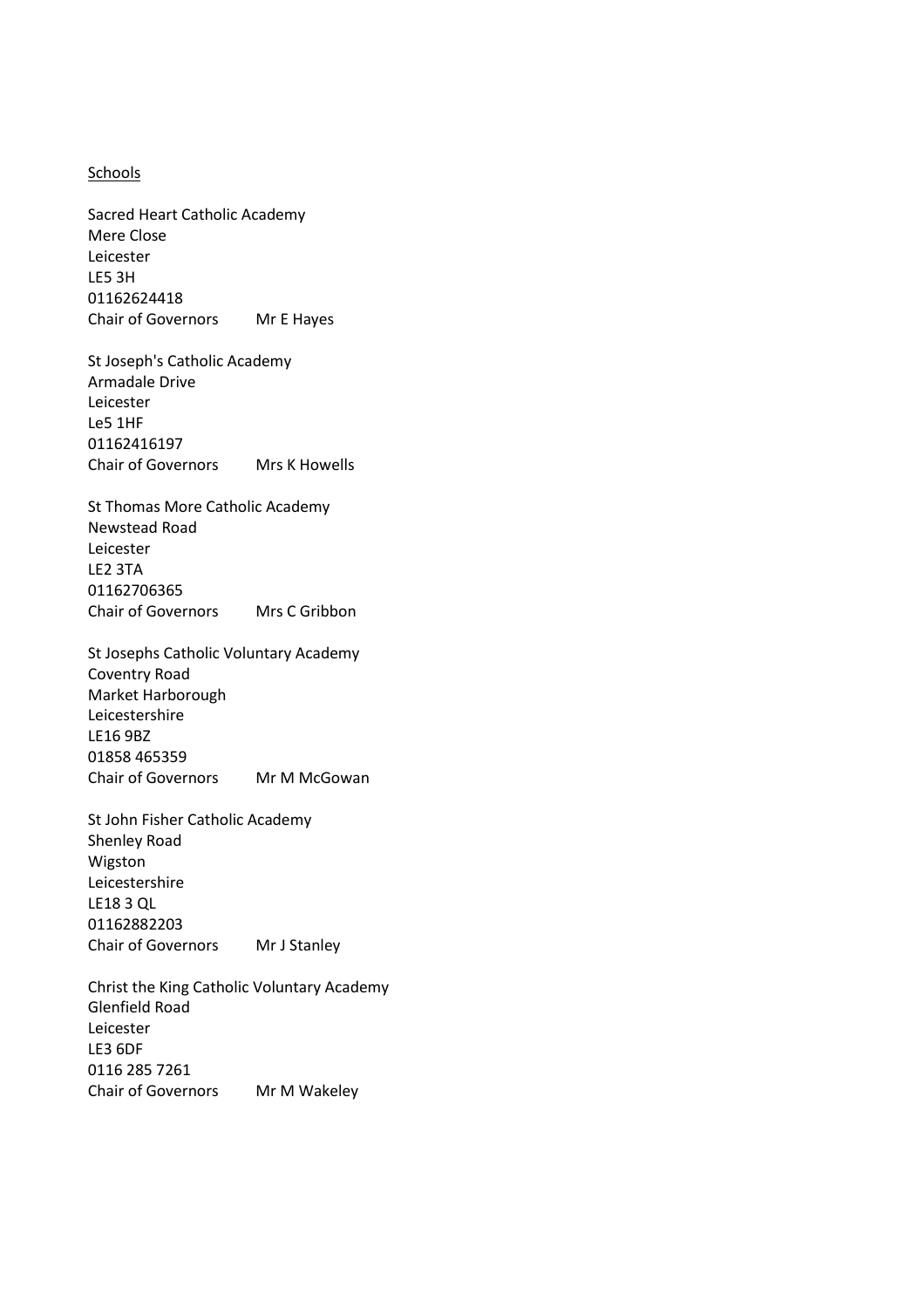#### Schools

Sacred Heart Catholic Academy Mere Close Leicester LE5 3H 01162624418 Chair of Governors Mr E Hayes

St Joseph's Catholic Academy Armadale Drive Leicester Le5 1HF 01162416197 Chair of Governors Mrs K Howells

St Thomas More Catholic Academy Newstead Road Leicester LE2 3TA 01162706365 Chair of Governors Mrs C Gribbon

St Josephs Catholic Voluntary Academy Coventry Road Market Harborough Leicestershire LE16 9BZ 01858 465359 Chair of Governors Mr M McGowan

St John Fisher Catholic Academy Shenley Road Wigston Leicestershire LE18 3 QL 01162882203 Chair of Governors Mr J Stanley

Christ the King Catholic Voluntary Academy Glenfield Road Leicester LE3 6DF 0116 285 7261 Chair of Governors Mr M Wakeley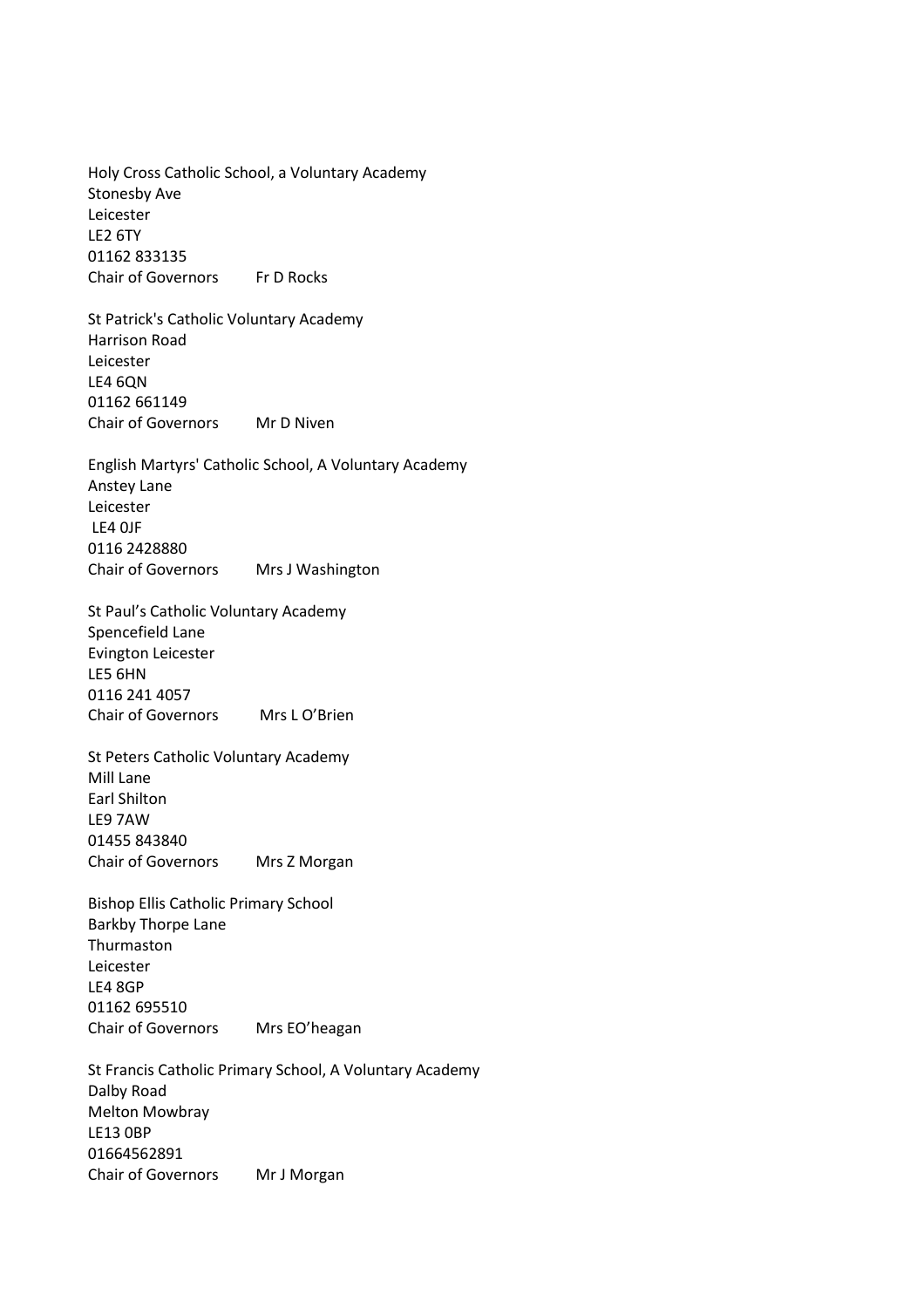Holy Cross Catholic School, a Voluntary Academy Stonesby Ave Leicester LE2 6TY 01162 833135 Chair of Governors Fr D Rocks

St Patrick's Catholic Voluntary Academy Harrison Road Leicester LE4 6QN 01162 661149 Chair of Governors Mr D Niven

English Martyrs' Catholic School, A Voluntary Academy Anstey Lane Leicester LE4 0JF 0116 2428880 Chair of Governors Mrs J Washington

St Paul's Catholic Voluntary Academy Spencefield Lane Evington Leicester LE5 6HN 0116 241 4057 Chair of Governors Mrs L O'Brien

St Peters Catholic Voluntary Academy Mill Lane Earl Shilton LE9 7AW 01455 843840 Chair of Governors Mrs Z Morgan

Bishop Ellis Catholic Primary School Barkby Thorpe Lane Thurmaston Leicester LE4 8GP 01162 695510 Chair of Governors Mrs EO'heagan

St Francis Catholic Primary School, A Voluntary Academy Dalby Road Melton Mowbray LE13 0BP 01664562891 Chair of Governors Mr J Morgan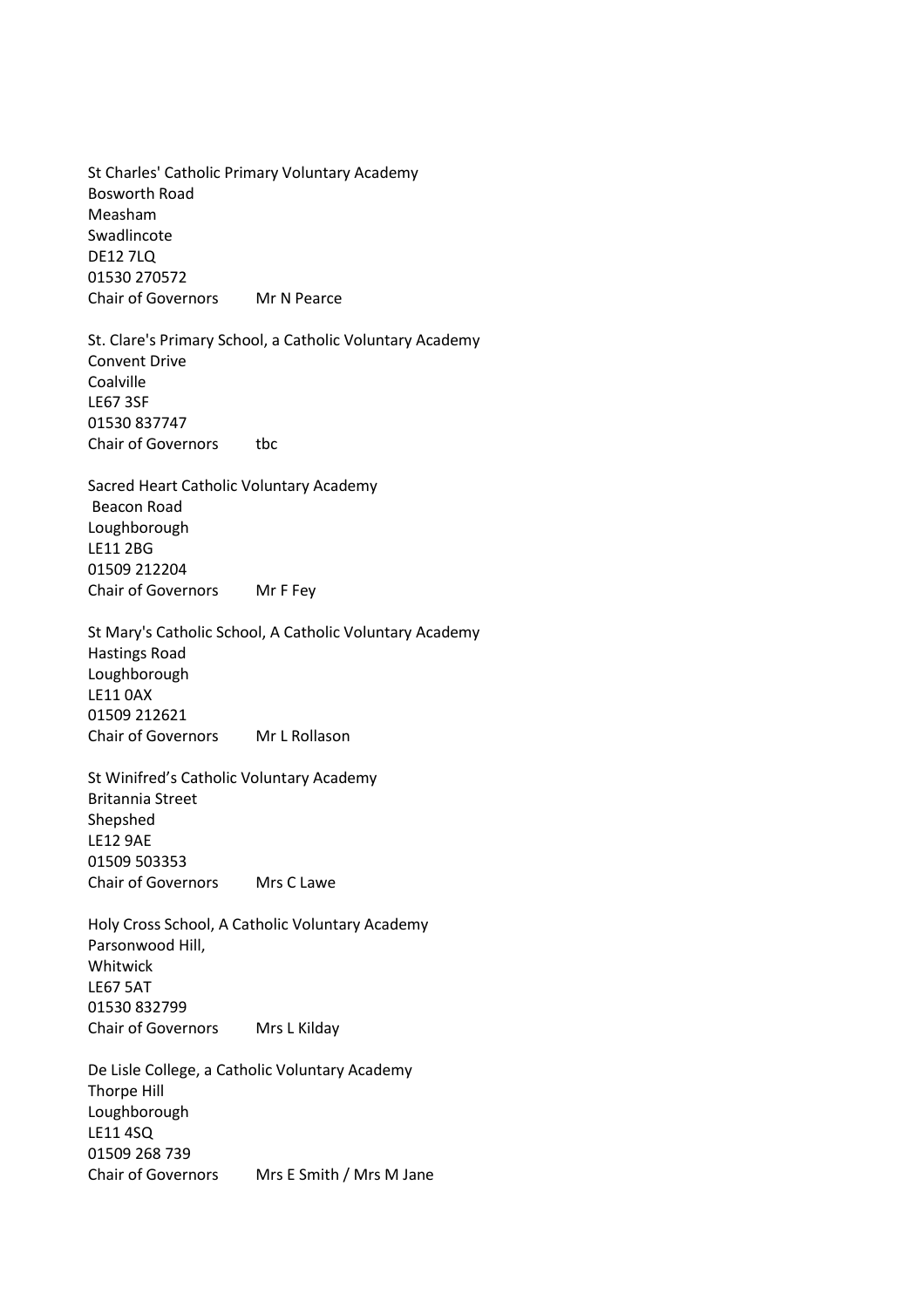St Charles' Catholic Primary Voluntary Academy Bosworth Road Measham Swadlincote DE12 7LQ 01530 270572 Chair of Governors Mr N Pearce

St. Clare's Primary School, a Catholic Voluntary Academy Convent Drive Coalville LE67 3SF 01530 837747 Chair of Governors tbc

Sacred Heart Catholic Voluntary Academy Beacon Road Loughborough LE11 2BG 01509 212204 Chair of Governors Mr F Fey

St Mary's Catholic School, A Catholic Voluntary Academy Hastings Road Loughborough LE11 0AX 01509 212621 Chair of Governors Mr L Rollason

St Winifred's Catholic Voluntary Academy Britannia Street Shepshed LE12 9AE 01509 503353 Chair of Governors Mrs C Lawe

Holy Cross School, A Catholic Voluntary Academy Parsonwood Hill, Whitwick LE67 5AT 01530 832799 Chair of Governors Mrs L Kilday

De Lisle College, a Catholic Voluntary Academy Thorpe Hill Loughborough LE11 4SQ 01509 268 739 Chair of Governors Mrs E Smith / Mrs M Jane